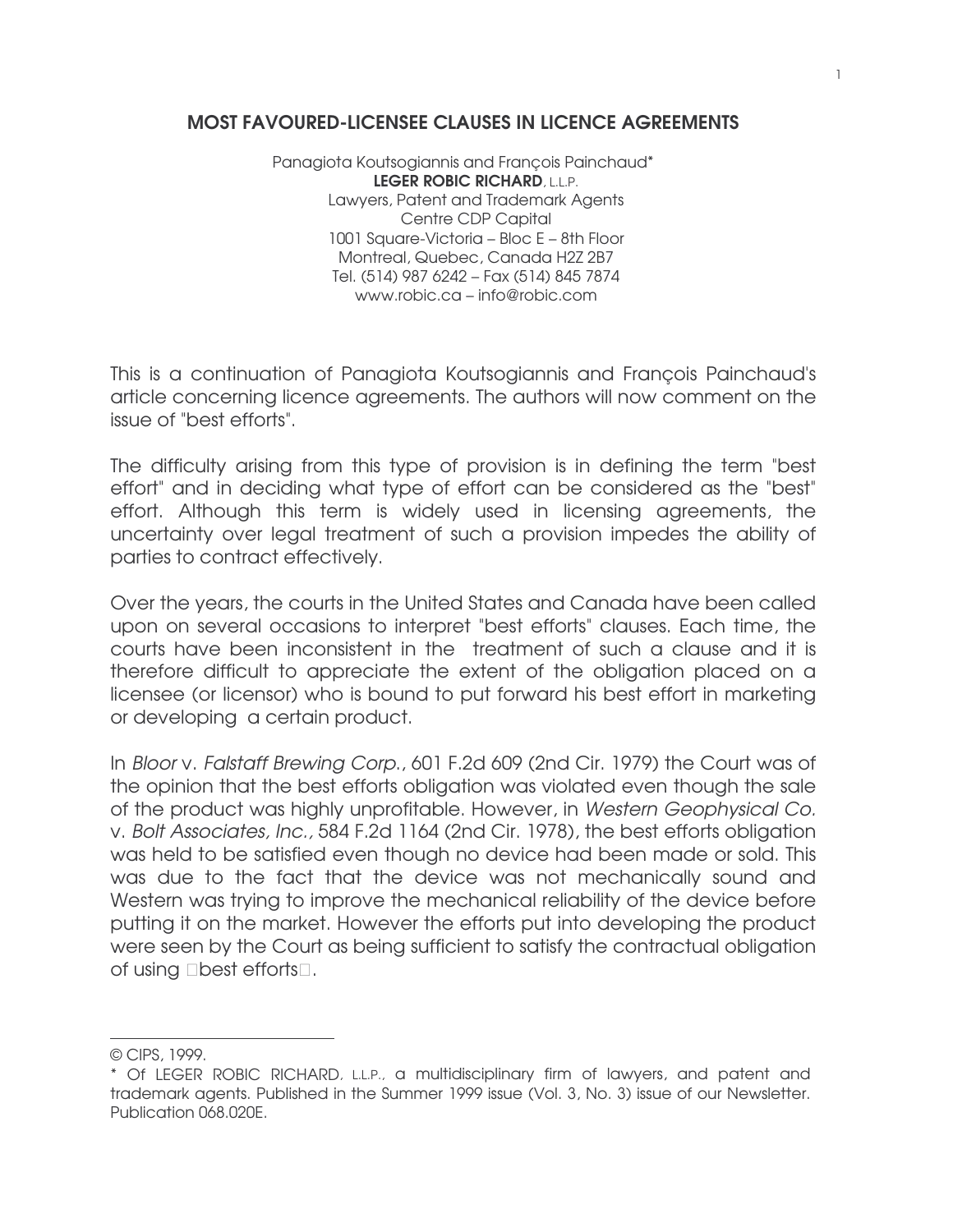## MOST FAVOURED-LICENSEE CLAUSES IN LICENCE AGREEMENTS

Panagiota Koutsogiannis and François Painchaud\* LEGER ROBIC RICHARD, L.L.P. Lawyers, Patent and Trademark Agents Centre CDP Capital 1001 Square-Victoria – Bloc E – 8th Floor Montreal, Quebec, Canada H2Z 2B7 Tel. (514) 987 6242 – Fax (514) 845 7874 www.robic.ca – info@robic.com

This is a continuation of Panagiota Koutsogiannis and François Painchaud's article concerning licence agreements. The authors will now comment on the issue of "best efforts".

The difficulty arising from this type of provision is in defining the term "best effort" and in deciding what type of effort can be considered as the "best" effort. Although this term is widely used in licensing agreements, the uncertainty over legal treatment of such a provision impedes the ability of parties to contract effectively.

Over the years, the courts in the United States and Canada have been called upon on several occasions to interpret "best efforts" clauses. Each time, the courts have been inconsistent in the treatment of such a clause and it is therefore difficult to appreciate the extent of the obligation placed on a licensee (or licensor) who is bound to put forward his best effort in marketing or developing a certain product.

In Bloor v. Falstaff Brewing Corp., 601 F.2d 609 (2nd Cir. 1979) the Court was of the opinion that the best efforts obligation was violated even though the sale of the product was highly unprofitable. However, in Western Geophysical Co. v. Bolt Associates, Inc., 584 F.2d 1164 (2nd Cir. 1978), the best efforts obligation was held to be satisfied even though no device had been made or sold. This was due to the fact that the device was not mechanically sound and Western was trying to improve the mechanical reliability of the device before putting it on the market. However the efforts put into developing the product were seen by the Court as being sufficient to satisfy the contractual obligation of using best efforts.

<u> 1989 - Johann Barn, mars ann an t-Amhair an t-A</u>

<sup>©</sup> CIPS, 1999.

<sup>\*</sup> Of LEGER ROBIC RICHARD, L.L.P., a multidisciplinary firm of lawyers, and patent and trademark agents. Published in the Summer 1999 issue (Vol. 3, No. 3) issue of our Newsletter. Publication 068.020E.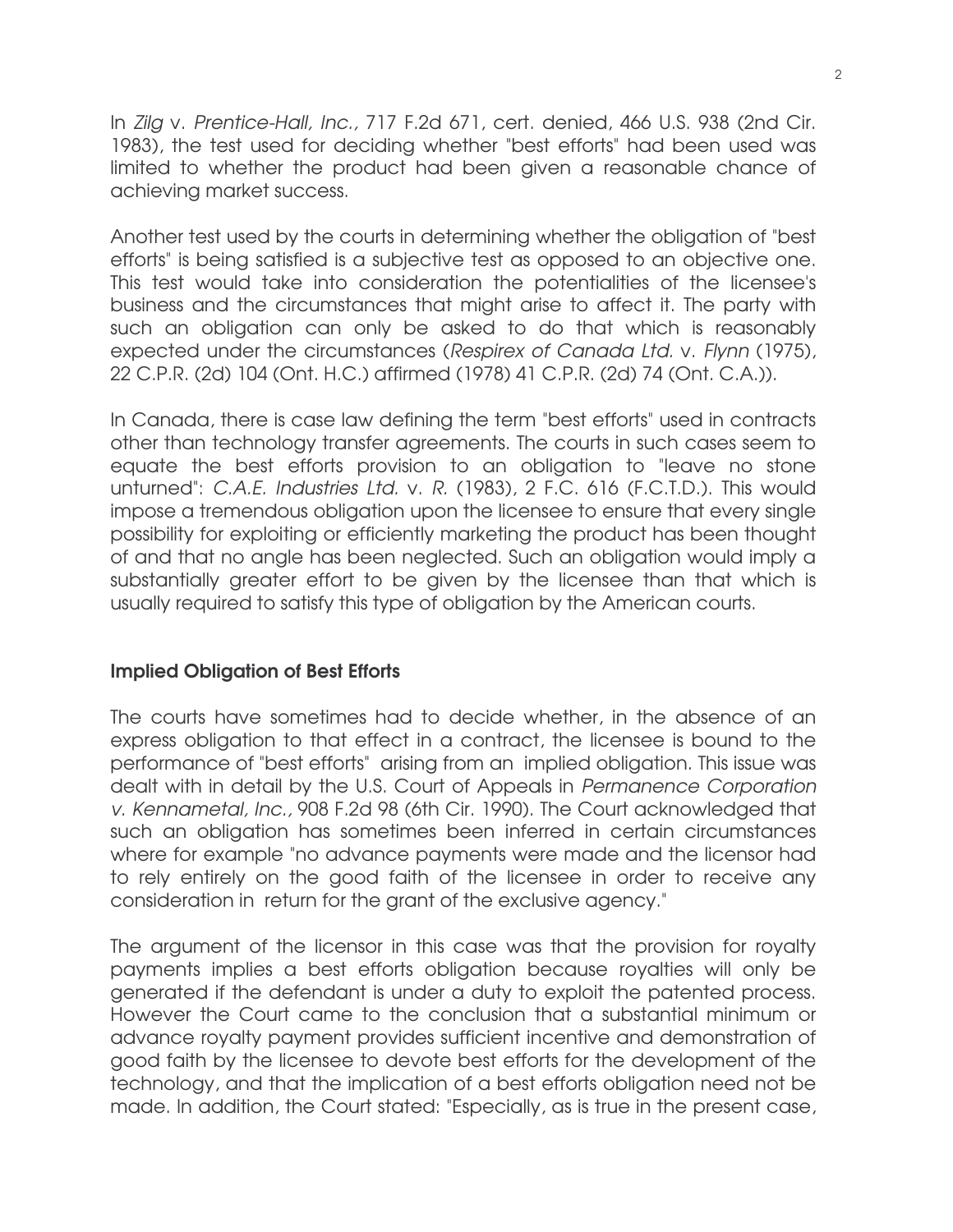In Zilg v. Prentice-Hall, Inc., 717 F.2d 671, cert. denied, 466 U.S. 938 (2nd Cir. 1983), the test used for deciding whether "best efforts" had been used was limited to whether the product had been given a reasonable chance of achieving market success.

Another test used by the courts in determining whether the obligation of "best efforts" is being satisfied is a subjective test as opposed to an objective one. This test would take into consideration the potentialities of the licensee's business and the circumstances that might arise to affect it. The party with such an obligation can only be asked to do that which is reasonably expected under the circumstances (Respirex of Canada Ltd. v. Flynn (1975), 22 C.P.R. (2d) 104 (Ont. H.C.) affirmed (1978) 41 C.P.R. (2d) 74 (Ont. C.A.)).

In Canada, there is case law defining the term "best efforts" used in contracts other than technology transfer agreements. The courts in such cases seem to equate the best efforts provision to an obligation to "leave no stone unturned": C.A.E. Industries Ltd. v. R. (1983), 2 F.C. 616 (F.C.T.D.). This would impose a tremendous obligation upon the licensee to ensure that every single possibility for exploiting or efficiently marketing the product has been thought of and that no angle has been neglected. Such an obligation would imply a substantially greater effort to be given by the licensee than that which is usually required to satisfy this type of obligation by the American courts.

## Implied Obligation of Best Efforts

The courts have sometimes had to decide whether, in the absence of an express obligation to that effect in a contract, the licensee is bound to the performance of "best efforts" arising from an implied obligation. This issue was dealt with in detail by the U.S. Court of Appeals in Permanence Corporation v. Kennametal, Inc., 908 F.2d 98 (6th Cir. 1990). The Court acknowledged that such an obligation has sometimes been inferred in certain circumstances where for example "no advance payments were made and the licensor had to rely entirely on the good faith of the licensee in order to receive any consideration in return for the grant of the exclusive agency."

The argument of the licensor in this case was that the provision for royalty payments implies a best efforts obligation because royalties will only be generated if the defendant is under a duty to exploit the patented process. However the Court came to the conclusion that a substantial minimum or advance royalty payment provides sufficient incentive and demonstration of good faith by the licensee to devote best efforts for the development of the technology, and that the implication of a best efforts obligation need not be made. In addition, the Court stated: "Especially, as is true in the present case,